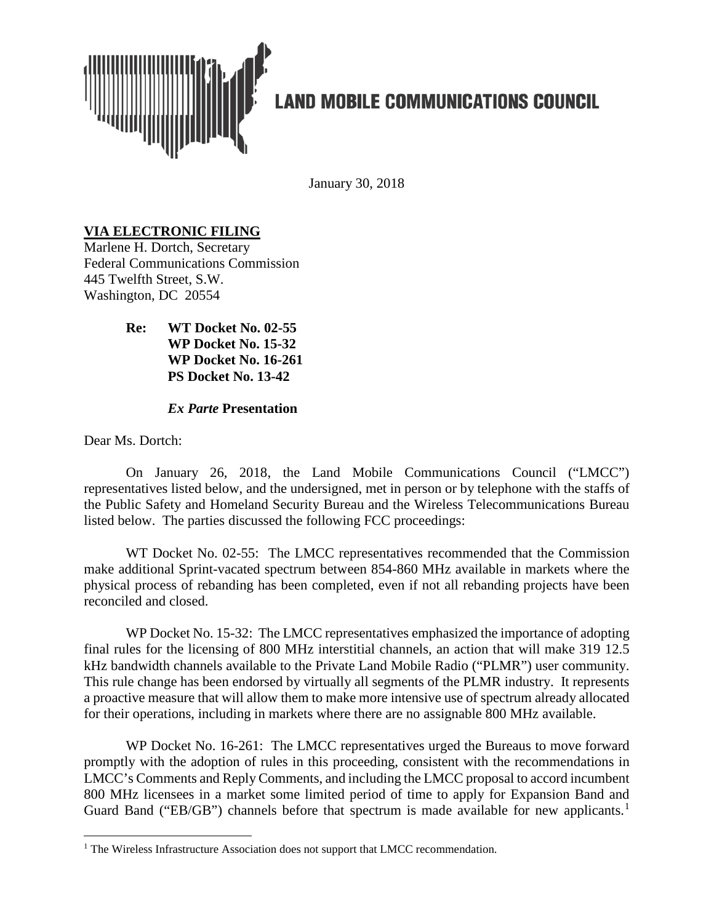

# **LAND MOBILE COMMUNICATIONS COUNCIL**

January 30, 2018

## **VIA ELECTRONIC FILING**

Marlene H. Dortch, Secretary Federal Communications Commission 445 Twelfth Street, S.W. Washington, DC 20554

> **Re: WT Docket No. 02-55 WP Docket No. 15-32 WP Docket No. 16-261 PS Docket No. 13-42**

## *Ex Parte* **Presentation**

Dear Ms. Dortch:

On January 26, 2018, the Land Mobile Communications Council ("LMCC") representatives listed below, and the undersigned, met in person or by telephone with the staffs of the Public Safety and Homeland Security Bureau and the Wireless Telecommunications Bureau listed below. The parties discussed the following FCC proceedings:

WT Docket No. 02-55: The LMCC representatives recommended that the Commission make additional Sprint-vacated spectrum between 854-860 MHz available in markets where the physical process of rebanding has been completed, even if not all rebanding projects have been reconciled and closed.

WP Docket No. 15-32: The LMCC representatives emphasized the importance of adopting final rules for the licensing of 800 MHz interstitial channels, an action that will make 319 12.5 kHz bandwidth channels available to the Private Land Mobile Radio ("PLMR") user community. This rule change has been endorsed by virtually all segments of the PLMR industry. It represents a proactive measure that will allow them to make more intensive use of spectrum already allocated for their operations, including in markets where there are no assignable 800 MHz available.

WP Docket No. 16-261: The LMCC representatives urged the Bureaus to move forward promptly with the adoption of rules in this proceeding, consistent with the recommendations in LMCC's Comments and Reply Comments, and including the LMCC proposal to accord incumbent 800 MHz licensees in a market some limited period of time to apply for Expansion Band and Guard Band ("EB/GB") channels before that spectrum is made available for new applicants.<sup>[1](#page-0-0)</sup>

<span id="page-0-0"></span><sup>&</sup>lt;sup>1</sup> The Wireless Infrastructure Association does not support that LMCC recommendation.